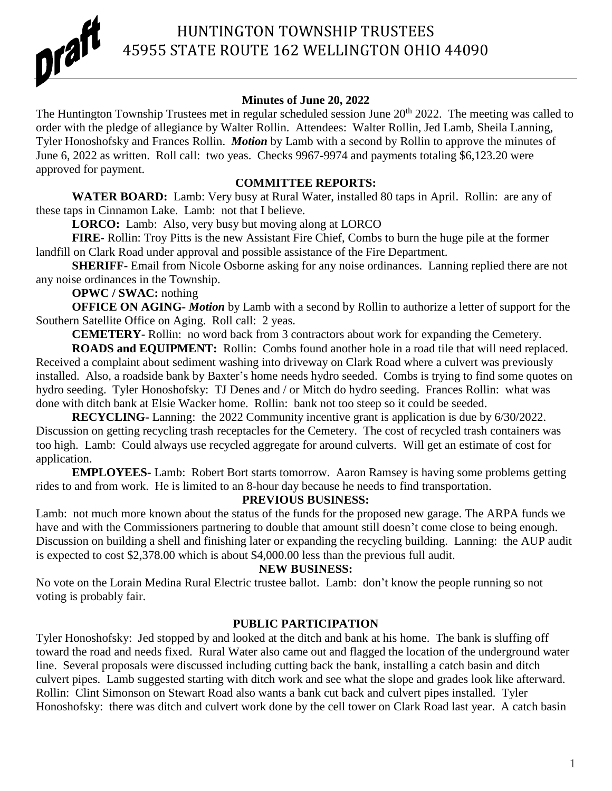

#### **Minutes of June 20, 2022**

The Huntington Township Trustees met in regular scheduled session June 20<sup>th</sup> 2022. The meeting was called to order with the pledge of allegiance by Walter Rollin. Attendees: Walter Rollin, Jed Lamb, Sheila Lanning, Tyler Honoshofsky and Frances Rollin. *Motion* by Lamb with a second by Rollin to approve the minutes of June 6, 2022 as written. Roll call: two yeas. Checks 9967-9974 and payments totaling \$6,123.20 were approved for payment.

#### **COMMITTEE REPORTS:**

WATER BOARD: Lamb: Very busy at Rural Water, installed 80 taps in April. Rollin: are any of these taps in Cinnamon Lake. Lamb: not that I believe.

LORCO: Lamb: Also, very busy but moving along at LORCO

**FIRE-** Rollin: Troy Pitts is the new Assistant Fire Chief, Combs to burn the huge pile at the former landfill on Clark Road under approval and possible assistance of the Fire Department.

**SHERIFF-** Email from Nicole Osborne asking for any noise ordinances. Lanning replied there are not any noise ordinances in the Township.

**OPWC / SWAC:** nothing

**OFFICE ON AGING-** *Motion* by Lamb with a second by Rollin to authorize a letter of support for the Southern Satellite Office on Aging. Roll call: 2 yeas.

**CEMETERY-** Rollin: no word back from 3 contractors about work for expanding the Cemetery.

**ROADS and EQUIPMENT:** Rollin: Combs found another hole in a road tile that will need replaced. Received a complaint about sediment washing into driveway on Clark Road where a culvert was previously installed. Also, a roadside bank by Baxter's home needs hydro seeded. Combs is trying to find some quotes on hydro seeding. Tyler Honoshofsky: TJ Denes and / or Mitch do hydro seeding. Frances Rollin: what was done with ditch bank at Elsie Wacker home. Rollin: bank not too steep so it could be seeded.

**RECYCLING-** Lanning: the 2022 Community incentive grant is application is due by 6/30/2022. Discussion on getting recycling trash receptacles for the Cemetery. The cost of recycled trash containers was too high. Lamb: Could always use recycled aggregate for around culverts. Will get an estimate of cost for application.

**EMPLOYEES-** Lamb: Robert Bort starts tomorrow. Aaron Ramsey is having some problems getting rides to and from work. He is limited to an 8-hour day because he needs to find transportation.

## **PREVIOUS BUSINESS:**

Lamb: not much more known about the status of the funds for the proposed new garage. The ARPA funds we have and with the Commissioners partnering to double that amount still doesn't come close to being enough. Discussion on building a shell and finishing later or expanding the recycling building. Lanning: the AUP audit is expected to cost \$2,378.00 which is about \$4,000.00 less than the previous full audit.

## **NEW BUSINESS:**

No vote on the Lorain Medina Rural Electric trustee ballot. Lamb: don't know the people running so not voting is probably fair.

## **PUBLIC PARTICIPATION**

Tyler Honoshofsky: Jed stopped by and looked at the ditch and bank at his home. The bank is sluffing off toward the road and needs fixed. Rural Water also came out and flagged the location of the underground water line. Several proposals were discussed including cutting back the bank, installing a catch basin and ditch culvert pipes. Lamb suggested starting with ditch work and see what the slope and grades look like afterward. Rollin: Clint Simonson on Stewart Road also wants a bank cut back and culvert pipes installed. Tyler Honoshofsky: there was ditch and culvert work done by the cell tower on Clark Road last year. A catch basin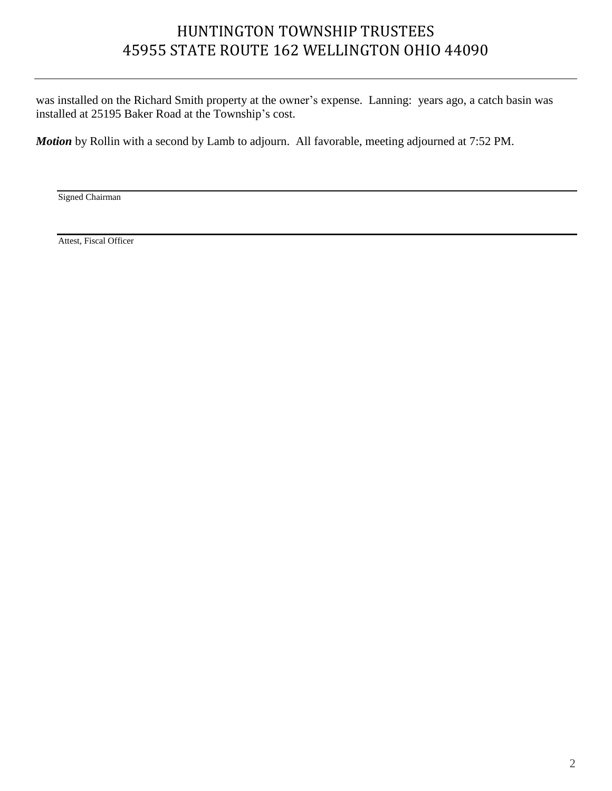# HUNTINGTON TOWNSHIP TRUSTEES 45955 STATE ROUTE 162 WELLINGTON OHIO 44090

was installed on the Richard Smith property at the owner's expense. Lanning: years ago, a catch basin was installed at 25195 Baker Road at the Township's cost.

*Motion* by Rollin with a second by Lamb to adjourn. All favorable, meeting adjourned at 7:52 PM.

Signed Chairman

Attest, Fiscal Officer